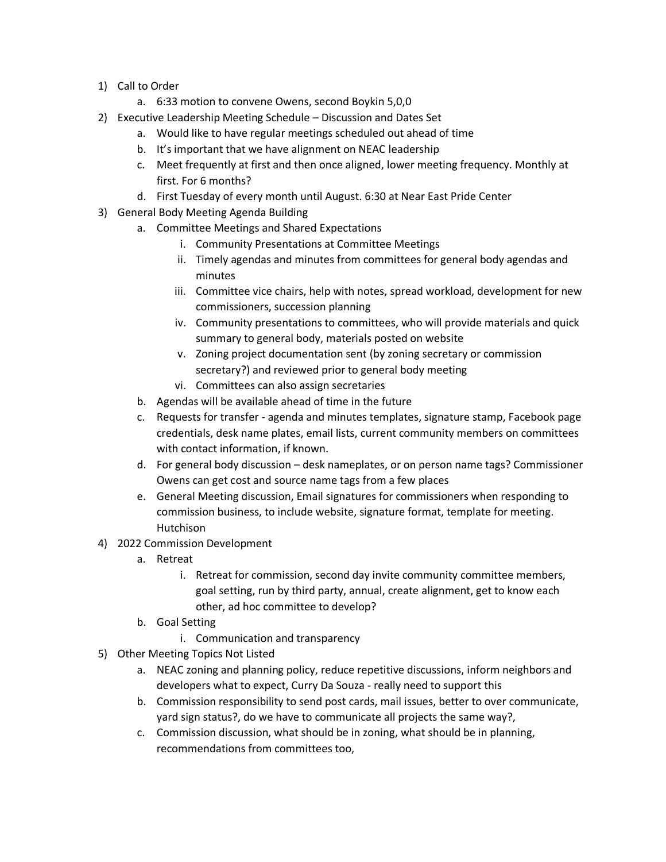- 1) Call to Order
	- a. 6:33 motion to convene Owens, second Boykin 5,0,0
- 2) Executive Leadership Meeting Schedule Discussion and Dates Set
	- a. Would like to have regular meetings scheduled out ahead of time
	- b. It's important that we have alignment on NEAC leadership
	- c. Meet frequently at first and then once aligned, lower meeting frequency. Monthly at first. For 6 months?
	- d. First Tuesday of every month until August. 6:30 at Near East Pride Center
- 3) General Body Meeting Agenda Building
	- a. Committee Meetings and Shared Expectations
		- i. Community Presentations at Committee Meetings
		- ii. Timely agendas and minutes from committees for general body agendas and minutes
		- iii. Committee vice chairs, help with notes, spread workload, development for new commissioners, succession planning
		- iv. Community presentations to committees, who will provide materials and quick summary to general body, materials posted on website
		- v. Zoning project documentation sent (by zoning secretary or commission secretary?) and reviewed prior to general body meeting
		- vi. Committees can also assign secretaries
	- b. Agendas will be available ahead of time in the future
	- c. Requests for transfer agenda and minutes templates, signature stamp, Facebook page credentials, desk name plates, email lists, current community members on committees with contact information, if known.
	- d. For general body discussion desk nameplates, or on person name tags? Commissioner Owens can get cost and source name tags from a few places
	- e. General Meeting discussion, Email signatures for commissioners when responding to commission business, to include website, signature format, template for meeting. Hutchison
- 4) 2022 Commission Development
	- a. Retreat
		- i. Retreat for commission, second day invite community committee members, goal setting, run by third party, annual, create alignment, get to know each other, ad hoc committee to develop?
	- b. Goal Setting
		- i. Communication and transparency
- 5) Other Meeting Topics Not Listed
	- a. NEAC zoning and planning policy, reduce repetitive discussions, inform neighbors and developers what to expect, Curry Da Souza - really need to support this
	- b. Commission responsibility to send post cards, mail issues, better to over communicate, yard sign status?, do we have to communicate all projects the same way?,
	- c. Commission discussion, what should be in zoning, what should be in planning, recommendations from committees too,